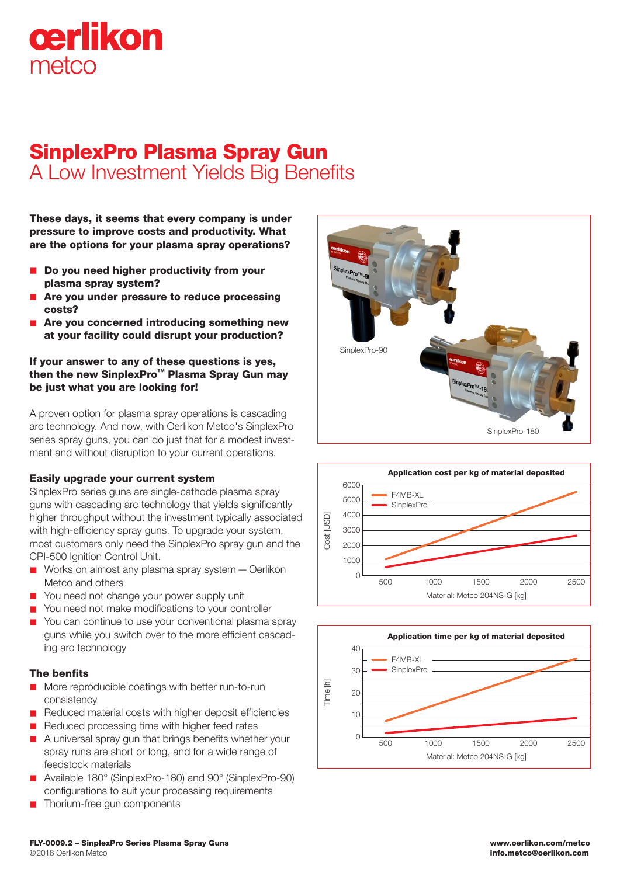# cerlikon metco

### SinplexPro Plasma Spray Gun A Low Investment Yields Big Benefits

These days, it seems that every company is under pressure to improve costs and productivity. What are the options for your plasma spray operations?

- Do you need higher productivity from your plasma spray system?
- Are you under pressure to reduce processing costs?
- Are you concerned introducing something new at your facility could disrupt your production?

#### If your answer to any of these questions is yes, then the new SinplexPro™ Plasma Spray Gun may be just what you are looking for!

A proven option for plasma spray operations is cascading arc technology. And now, with Oerlikon Metco's SinplexPro series spray guns, you can do just that for a modest investment and without disruption to your current operations.

#### Easily upgrade your current system

SinplexPro series guns are single-cathode plasma spray guns with cascading arc technology that yields significantly higher throughput without the investment typically associated with high-efficiency spray guns. To upgrade your system, most customers only need the SinplexPro spray gun and the CPI-500 Ignition Control Unit.

- $\blacksquare$  Works on almost any plasma spray system  $\lightharpoonup$  Oerlikon Metco and others
- You need not change your power supply unit
- You need not make modifications to your controller
- $\blacksquare$  You can continue to use your conventional plasma spray guns while you switch over to the more efficient cascading arc technology

#### The benfits

- **n** More reproducible coatings with better run-to-run consistency
- n Reduced material costs with higher deposit efficiencies
- Reduced processing time with higher feed rates
- $\blacksquare$  A universal spray gun that brings benefits whether your spray runs are short or long, and for a wide range of feedstock materials
- n Available 180° (SinplexPro-180) and 90° (SinplexPro-90) configurations to suit your processing requirements
- Thorium-free gun components